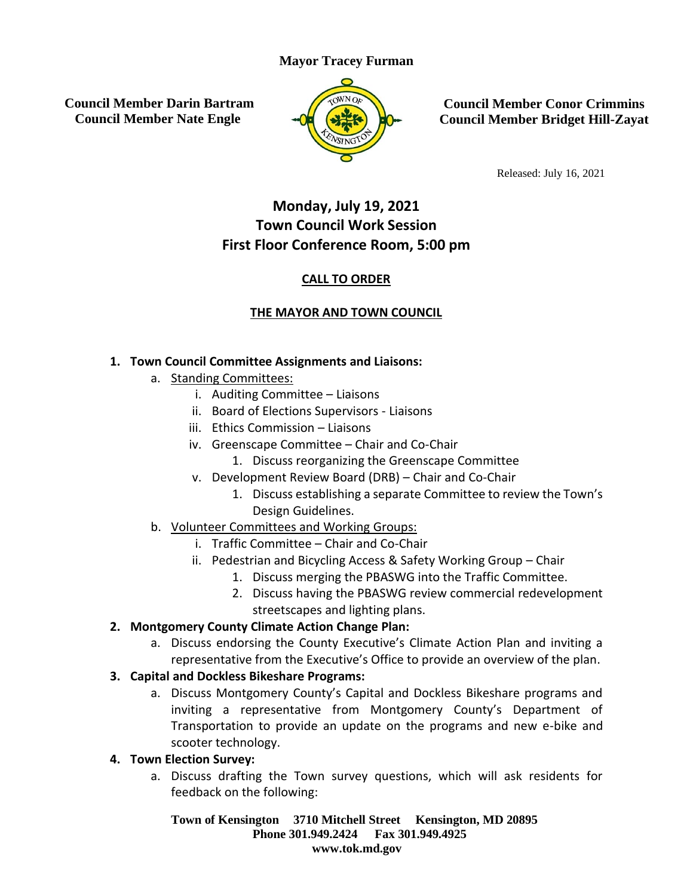## **Mayor Tracey Furman**

**Council Member Darin Bartram Council Member Nate Engle**



**Council Member Conor Crimmins Council Member Bridget Hill-Zayat**

Released: July 16, 2021

# **Monday, July 19, 2021 Town Council Work Session First Floor Conference Room, 5:00 pm**

## **CALL TO ORDER**

## **THE MAYOR AND TOWN COUNCIL**

#### **1. Town Council Committee Assignments and Liaisons:**

- a. Standing Committees:
	- i. Auditing Committee Liaisons
	- ii. Board of Elections Supervisors Liaisons
	- iii. Ethics Commission Liaisons
	- iv. Greenscape Committee Chair and Co-Chair
		- 1. Discuss reorganizing the Greenscape Committee
	- v. Development Review Board (DRB) Chair and Co-Chair
		- 1. Discuss establishing a separate Committee to review the Town's Design Guidelines.
- b. Volunteer Committees and Working Groups:
	- i. Traffic Committee Chair and Co-Chair
	- ii. Pedestrian and Bicycling Access & Safety Working Group Chair
		- 1. Discuss merging the PBASWG into the Traffic Committee.
		- 2. Discuss having the PBASWG review commercial redevelopment streetscapes and lighting plans.

## **2. Montgomery County Climate Action Change Plan:**

a. Discuss endorsing the County Executive's Climate Action Plan and inviting a representative from the Executive's Office to provide an overview of the plan.

## **3. Capital and Dockless Bikeshare Programs:**

a. Discuss Montgomery County's Capital and Dockless Bikeshare programs and inviting a representative from Montgomery County's Department of Transportation to provide an update on the programs and new e-bike and scooter technology.

## **4. Town Election Survey:**

a. Discuss drafting the Town survey questions, which will ask residents for feedback on the following:

**Town of Kensington 3710 Mitchell Street Kensington, MD 20895 Phone 301.949.2424 Fax 301.949.4925 www.tok.md.gov**